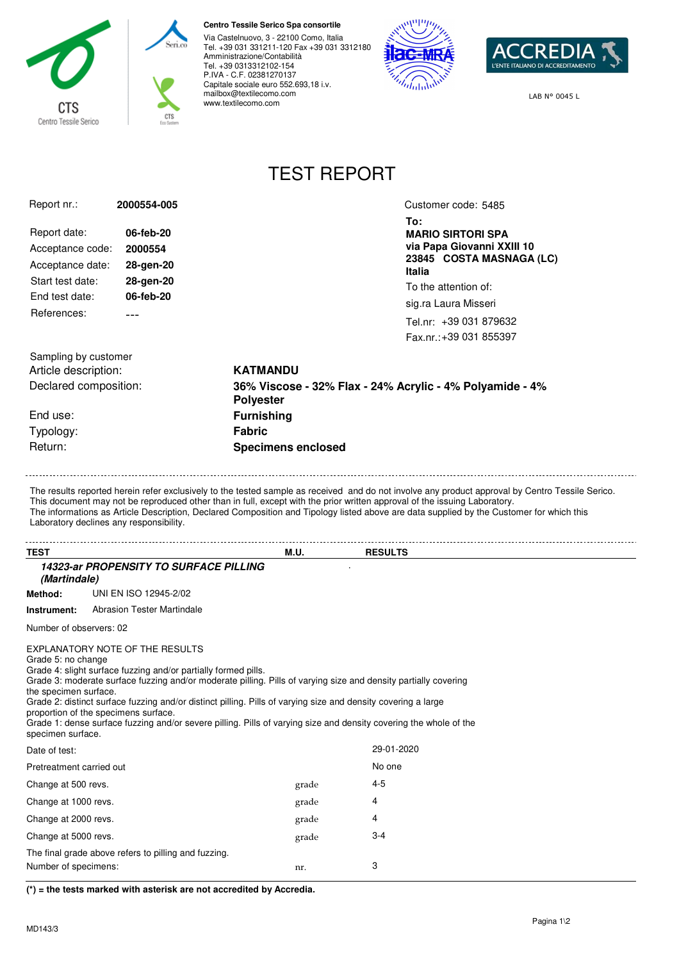

## **Centro Tessile Serico Spa consortile**

Via Castelnuovo, 3 - 22100 Como, Italia Tel. +39 031 331211-120 Fax +39 031 3312180 Amministrazione/Contabilità Tel. +39 0313312102-154 P.IVA - C.F. 02381270137 Capitale sociale euro 552.693,18 i.v. mailbox@textilecomo.com www.textilecomo.com





LAB N° 0045 L

## TEST REPORT

| Report nr.:                                     | 2000554-005                                                    |                                                                                                                                                                                                                                     | Customer code: 5485                                    |  |
|-------------------------------------------------|----------------------------------------------------------------|-------------------------------------------------------------------------------------------------------------------------------------------------------------------------------------------------------------------------------------|--------------------------------------------------------|--|
|                                                 |                                                                |                                                                                                                                                                                                                                     | To:                                                    |  |
| Report date:                                    | 06-feb-20                                                      |                                                                                                                                                                                                                                     | <b>MARIO SIRTORI SPA</b>                               |  |
| Acceptance code:                                | 2000554                                                        |                                                                                                                                                                                                                                     | via Papa Giovanni XXIII 10<br>23845 COSTA MASNAGA (LC) |  |
| Acceptance date:                                | 28-gen-20                                                      |                                                                                                                                                                                                                                     | Italia                                                 |  |
| Start test date:                                | 28-gen-20                                                      |                                                                                                                                                                                                                                     | To the attention of:                                   |  |
| End test date:                                  | 06-feb-20                                                      |                                                                                                                                                                                                                                     | sig.ra Laura Misseri                                   |  |
| References:                                     |                                                                |                                                                                                                                                                                                                                     | Tel.nr: +39 031 879632                                 |  |
|                                                 |                                                                |                                                                                                                                                                                                                                     | Fax.nr.: +39 031 855397                                |  |
|                                                 |                                                                |                                                                                                                                                                                                                                     |                                                        |  |
| Sampling by customer                            |                                                                | <b>KATMANDU</b>                                                                                                                                                                                                                     |                                                        |  |
| Article description:<br>Declared composition:   |                                                                | 36% Viscose - 32% Flax - 24% Acrylic - 4% Polyamide - 4%                                                                                                                                                                            |                                                        |  |
|                                                 |                                                                | <b>Polyester</b>                                                                                                                                                                                                                    |                                                        |  |
| End use:                                        |                                                                | <b>Furnishing</b>                                                                                                                                                                                                                   |                                                        |  |
| Typology:                                       |                                                                | <b>Fabric</b>                                                                                                                                                                                                                       |                                                        |  |
| Return:                                         |                                                                | <b>Specimens enclosed</b>                                                                                                                                                                                                           |                                                        |  |
|                                                 |                                                                |                                                                                                                                                                                                                                     |                                                        |  |
| Laboratory declines any responsibility.<br>TEST |                                                                | <b>M.U.</b> The contract of the contract of the contract of the contract of the contract of the contract of the contract of the contract of the contract of the contract of the contract of the contract of the contract of the con | <b>RESULTS</b>                                         |  |
|                                                 | <b>14323-ar PROPENSITY TO SURFACE PILLING</b>                  |                                                                                                                                                                                                                                     |                                                        |  |
| (Martindale)                                    |                                                                |                                                                                                                                                                                                                                     |                                                        |  |
| Method:                                         | UNI EN ISO 12945-2/02                                          |                                                                                                                                                                                                                                     |                                                        |  |
| Instrument:                                     | <b>Abrasion Tester Martindale</b>                              |                                                                                                                                                                                                                                     |                                                        |  |
| Number of observers: 02                         |                                                                |                                                                                                                                                                                                                                     |                                                        |  |
|                                                 | EXPLANATORY NOTE OF THE RESULTS                                |                                                                                                                                                                                                                                     |                                                        |  |
| Grade 5: no change                              | Grade 4: slight surface fuzzing and/or partially formed pills. |                                                                                                                                                                                                                                     |                                                        |  |
|                                                 |                                                                | Grade 3: moderate surface fuzzing and/or moderate pilling. Pills of varying size and density partially covering                                                                                                                     |                                                        |  |
| the specimen surface.                           |                                                                | Grade 2: distinct surface fuzzing and/or distinct pilling. Pills of varying size and density covering a large                                                                                                                       |                                                        |  |
| proportion of the specimens surface.            |                                                                |                                                                                                                                                                                                                                     |                                                        |  |
| specimen surface.                               |                                                                | Grade 1: dense surface fuzzing and/or severe pilling. Pills of varying size and density covering the whole of the                                                                                                                   |                                                        |  |
| Date of test:                                   |                                                                |                                                                                                                                                                                                                                     | 29-01-2020                                             |  |
| Pretreatment carried out                        |                                                                |                                                                                                                                                                                                                                     | No one                                                 |  |
| Change at 500 revs.                             |                                                                | grade                                                                                                                                                                                                                               | $4 - 5$                                                |  |
| Change at 1000 revs.                            |                                                                | grade                                                                                                                                                                                                                               | 4                                                      |  |
| Change at 2000 revs.                            |                                                                | grade                                                                                                                                                                                                                               | 4                                                      |  |
| Change at 5000 revs.                            |                                                                | grade                                                                                                                                                                                                                               | 3-4                                                    |  |
|                                                 |                                                                |                                                                                                                                                                                                                                     |                                                        |  |

**(\*) = the tests marked with asterisk are not accredited by Accredia.**

Number of specimens: 3